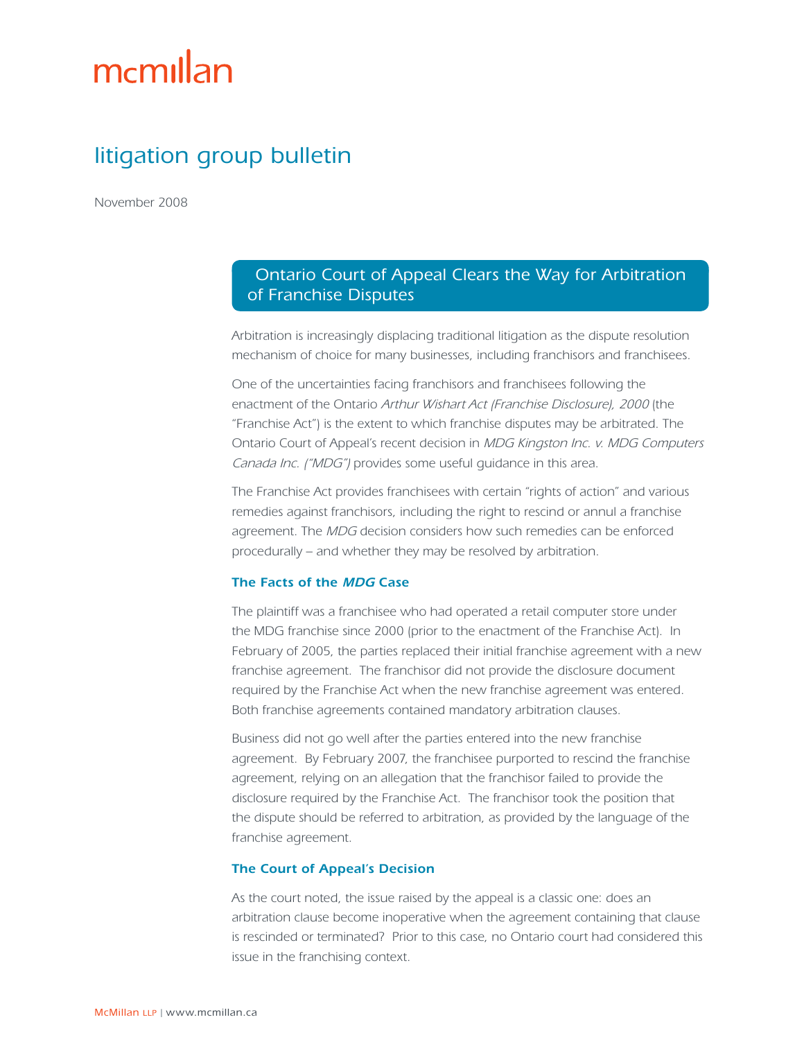# mcmillan

# litigation group bulletin

November 2008

# Ontario Court of Appeal Clears the Way for Arbitration of Franchise Disputes

Arbitration is increasingly displacing traditional litigation as the dispute resolution mechanism of choice for many businesses, including franchisors and franchisees.

One of the uncertainties facing franchisors and franchisees following the enactment of the Ontario Arthur Wishart Act (Franchise Disclosure), 2000 (the "Franchise Act") is the extent to which franchise disputes may be arbitrated. The Ontario Court of Appeal's recent decision in MDG Kingston Inc. v. MDG Computers Canada Inc. ("MDG") provides some useful quidance in this area.

The Franchise Act provides franchisees with certain "rights of action" and various remedies against franchisors, including the right to rescind or annul a franchise agreement. The MDG decision considers how such remedies can be enforced procedurally – and whether they may be resolved by arbitration.

#### The Facts of the MDG Case

The plaintiff was a franchisee who had operated a retail computer store under the MDG franchise since 2000 (prior to the enactment of the Franchise Act). In February of 2005, the parties replaced their initial franchise agreement with a new franchise agreement. The franchisor did not provide the disclosure document required by the Franchise Act when the new franchise agreement was entered. Both franchise agreements contained mandatory arbitration clauses.

Business did not go well after the parties entered into the new franchise agreement. By February 2007, the franchisee purported to rescind the franchise agreement, relying on an allegation that the franchisor failed to provide the disclosure required by the Franchise Act. The franchisor took the position that the dispute should be referred to arbitration, as provided by the language of the franchise agreement.

#### The Court of Appeal's Decision

As the court noted, the issue raised by the appeal is a classic one: does an arbitration clause become inoperative when the agreement containing that clause is rescinded or terminated? Prior to this case, no Ontario court had considered this issue in the franchising context.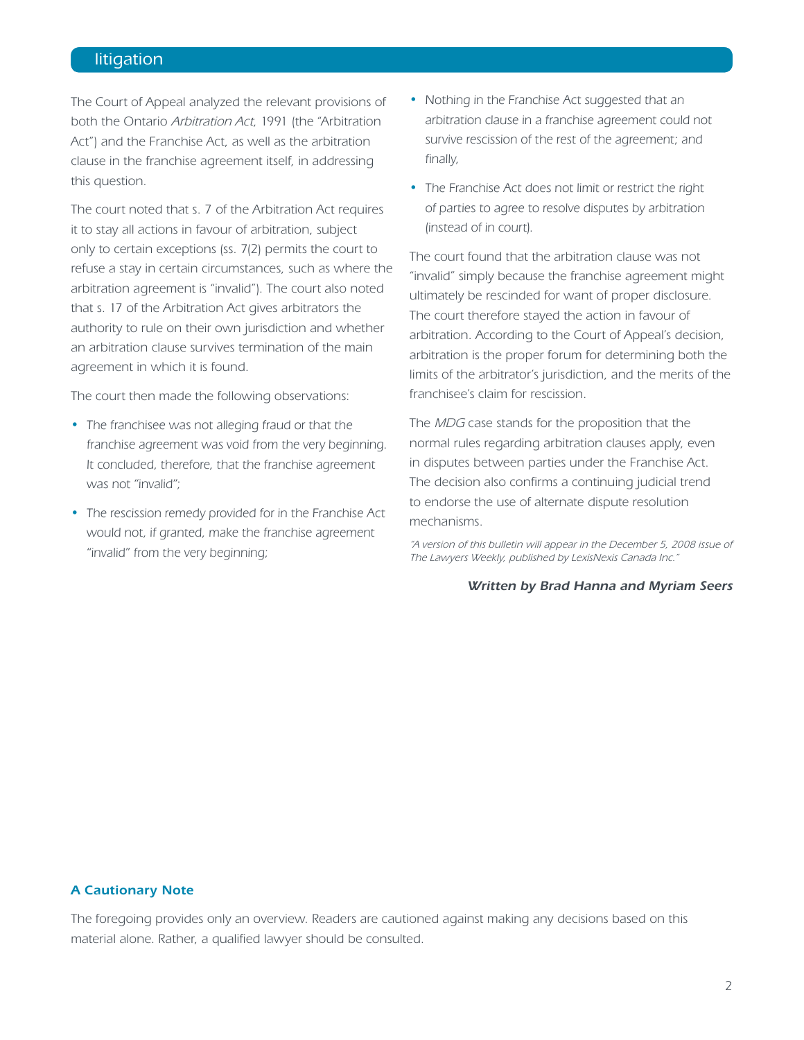# litigation

The Court of Appeal analyzed the relevant provisions of both the Ontario Arbitration Act, 1991 (the "Arbitration Act") and the Franchise Act, as well as the arbitration clause in the franchise agreement itself, in addressing this question.

The court noted that s. 7 of the Arbitration Act requires it to stay all actions in favour of arbitration, subject only to certain exceptions (ss. 7(2) permits the court to refuse a stay in certain circumstances, such as where the arbitration agreement is "invalid"). The court also noted that s. 17 of the Arbitration Act gives arbitrators the authority to rule on their own jurisdiction and whether an arbitration clause survives termination of the main agreement in which it is found.

The court then made the following observations:

- The franchisee was not alleging fraud or that the franchise agreement was void from the very beginning. It concluded, therefore, that the franchise agreement was not "invalid";
- The rescission remedy provided for in the Franchise Act would not, if granted, make the franchise agreement "invalid" from the very beginning;
- Nothing in the Franchise Act suggested that an arbitration clause in a franchise agreement could not survive rescission of the rest of the agreement; and finally,
- The Franchise Act does not limit or restrict the right of parties to agree to resolve disputes by arbitration (instead of in court).

The court found that the arbitration clause was not "invalid" simply because the franchise agreement might ultimately be rescinded for want of proper disclosure. The court therefore stayed the action in favour of arbitration. According to the Court of Appeal's decision, arbitration is the proper forum for determining both the limits of the arbitrator's jurisdiction, and the merits of the franchisee's claim for rescission.

The *MDG* case stands for the proposition that the normal rules regarding arbitration clauses apply, even in disputes between parties under the Franchise Act. The decision also confirms a continuing judicial trend to endorse the use of alternate dispute resolution mechanisms.

"A version of this bulletin will appear in the December 5, 2008 issue of The Lawyers Weekly, published by LexisNexis Canada Inc."

#### Written by Brad Hanna and Myriam Seers

#### A Cautionary Note

The foregoing provides only an overview. Readers are cautioned against making any decisions based on this material alone. Rather, a qualified lawyer should be consulted.